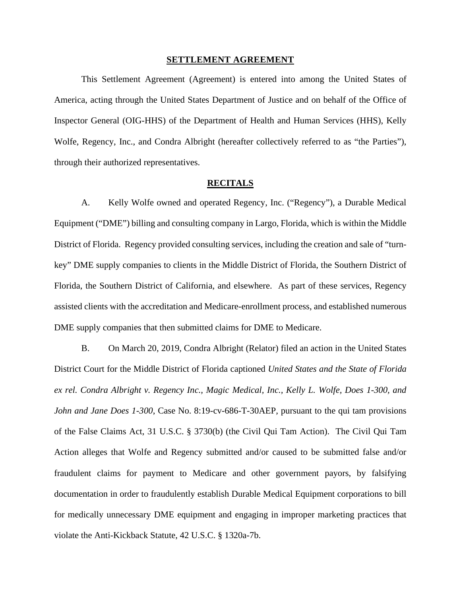#### **SETTLEMENT AGREEMENT**

This Settlement Agreement (Agreement) is entered into among the United States of America, acting through the United States Department of Justice and on behalf of the Office of Inspector General (OIG-HHS) of the Department of Health and Human Services (HHS), Kelly Wolfe, Regency, Inc., and Condra Albright (hereafter collectively referred to as "the Parties"), through their authorized representatives.

### **RECITALS**

A. Kelly Wolfe owned and operated Regency, Inc. ("Regency"), a Durable Medical Equipment ("DME") billing and consulting company in Largo, Florida, which is within the Middle District of Florida. Regency provided consulting services, including the creation and sale of "turnkey" DME supply companies to clients in the Middle District of Florida, the Southern District of Florida, the Southern District of California, and elsewhere. As part of these services, Regency assisted clients with the accreditation and Medicare-enrollment process, and established numerous DME supply companies that then submitted claims for DME to Medicare.

 fraudulent claims for payment to Medicare and other government payors, by falsifying B. On March 20, 2019, Condra Albright (Relator) filed an action in the United States District Court for the Middle District of Florida captioned *United States and the State of Florida ex rel. Condra Albright v. Regency Inc., Magic Medical, Inc., Kelly L. Wolfe, Does 1-300, and John and Jane Does 1-300*, Case No. 8:19-cv-686-T-30AEP, pursuant to the qui tam provisions of the False Claims Act, 31 U.S.C. § 3730(b) (the Civil Qui Tam Action). The Civil Qui Tam Action alleges that Wolfe and Regency submitted and/or caused to be submitted false and/or documentation in order to fraudulently establish Durable Medical Equipment corporations to bill for medically unnecessary DME equipment and engaging in improper marketing practices that violate the Anti-Kickback Statute, 42 U.S.C. § 1320a-7b.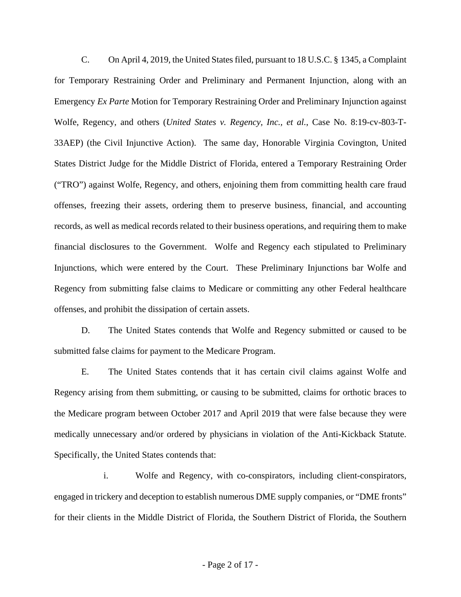C. On April 4, 2019, the United States filed, pursuant to 18 U.S.C. § 1345, a Complaint for Temporary Restraining Order and Preliminary and Permanent Injunction, along with an Emergency *Ex Parte* Motion for Temporary Restraining Order and Preliminary Injunction against Wolfe, Regency, and others (*United States v. Regency, Inc., et al.*, Case No. 8:19-cv-803-T-33AEP) (the Civil Injunctive Action). The same day, Honorable Virginia Covington, United States District Judge for the Middle District of Florida, entered a Temporary Restraining Order ("TRO") against Wolfe, Regency, and others, enjoining them from committing health care fraud offenses, freezing their assets, ordering them to preserve business, financial, and accounting records, as well as medical records related to their business operations, and requiring them to make financial disclosures to the Government. Wolfe and Regency each stipulated to Preliminary Injunctions, which were entered by the Court. These Preliminary Injunctions bar Wolfe and Regency from submitting false claims to Medicare or committing any other Federal healthcare offenses, and prohibit the dissipation of certain assets.

D. The United States contends that Wolfe and Regency submitted or caused to be submitted false claims for payment to the Medicare Program.

 Regency arising from them submitting, or causing to be submitted, claims for orthotic braces to medically unnecessary and/or ordered by physicians in violation of the Anti-Kickback Statute. Specifically, the United States contends that: Specifically, the United States contends that:<br>i. Wolfe and Regency, with co-conspirators, including client-conspirators, E. The United States contends that it has certain civil claims against Wolfe and the Medicare program between October 2017 and April 2019 that were false because they were

engaged in trickery and deception to establish numerous DME supply companies, or "DME fronts" for their clients in the Middle District of Florida, the Southern District of Florida, the Southern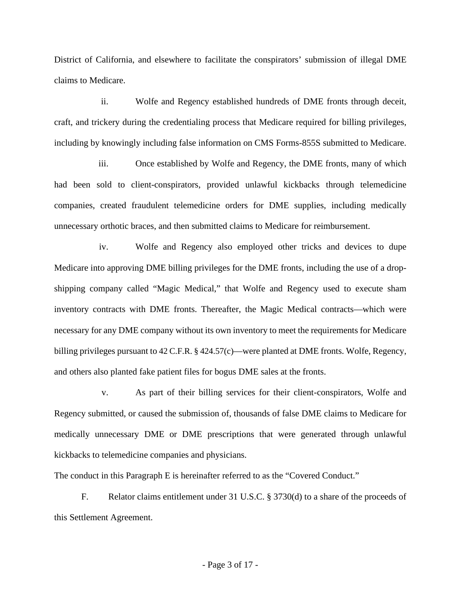District of California, and elsewhere to facilitate the conspirators' submission of illegal DME claims to Medicare.

ii. Wolfe and Regency established hundreds of DME fronts through deceit, craft, and trickery during the credentialing process that Medicare required for billing privileges, including by knowingly including false information on CMS Forms-855S submitted to Medicare.

iii. Once established by Wolfe and Regency, the DME fronts, many of which had been sold to client-conspirators, provided unlawful kickbacks through telemedicine companies, created fraudulent telemedicine orders for DME supplies, including medically unnecessary orthotic braces, and then submitted claims to Medicare for reimbursement.

iv. Wolfe and Regency also employed other tricks and devices to dupe Medicare into approving DME billing privileges for the DME fronts, including the use of a dropshipping company called "Magic Medical," that Wolfe and Regency used to execute sham inventory contracts with DME fronts. Thereafter, the Magic Medical contracts—which were necessary for any DME company without its own inventory to meet the requirements for Medicare billing privileges pursuant to 42 C.F.R. § 424.57(c)—were planted at DME fronts. Wolfe, Regency, and others also planted fake patient files for bogus DME sales at the fronts.

 v. As part of their billing services for their client-conspirators, Wolfe and Regency submitted, or caused the submission of, thousands of false DME claims to Medicare for medically unnecessary DME or DME prescriptions that were generated through unlawful kickbacks to telemedicine companies and physicians.

The conduct in this Paragraph E is hereinafter referred to as the "Covered Conduct."

F. Relator claims entitlement under 31 U.S.C. § 3730(d) to a share of the proceeds of this Settlement Agreement.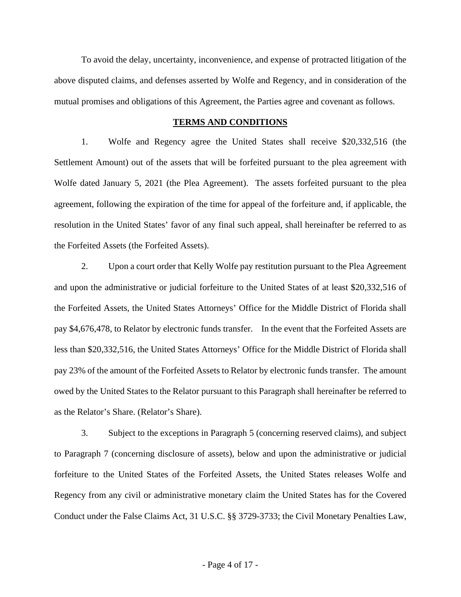To avoid the delay, uncertainty, inconvenience, and expense of protracted litigation of the above disputed claims, and defenses asserted by Wolfe and Regency, and in consideration of the mutual promises and obligations of this Agreement, the Parties agree and covenant as follows.

#### **TERMS AND CONDITIONS**

 Wolfe dated January 5, 2021 (the Plea Agreement). The assets forfeited pursuant to the plea agreement, following the expiration of the time for appeal of the forfeiture and, if applicable, the resolution in the United States' favor of any final such appeal, shall hereinafter be referred to as the Forfeited Assets (the Forfeited Assets). 1. Wolfe and Regency agree the United States shall receive \$20,332,516 (the Settlement Amount) out of the assets that will be forfeited pursuant to the plea agreement with

 and upon the administrative or judicial forfeiture to the United States of at least \$20,332,516 of pay \$4,676,478, to Relator by electronic funds transfer. In the event that the Forfeited Assets are pay 23% of the amount of the Forfeited Assets to Relator by electronic funds transfer. The amount owed by the United States to the Relator pursuant to this Paragraph shall hereinafter be referred to 2. Upon a court order that Kelly Wolfe pay restitution pursuant to the Plea Agreement the Forfeited Assets, the United States Attorneys' Office for the Middle District of Florida shall less than \$20,332,516, the United States Attorneys' Office for the Middle District of Florida shall as the Relator's Share. (Relator's Share).

 3. Subject to the exceptions in Paragraph 5 (concerning reserved claims), and subject forfeiture to the United States of the Forfeited Assets, the United States releases Wolfe and Conduct under the False Claims Act, 31 U.S.C. §§ 3729-3733; the Civil Monetary Penalties Law, to Paragraph 7 (concerning disclosure of assets), below and upon the administrative or judicial Regency from any civil or administrative monetary claim the United States has for the Covered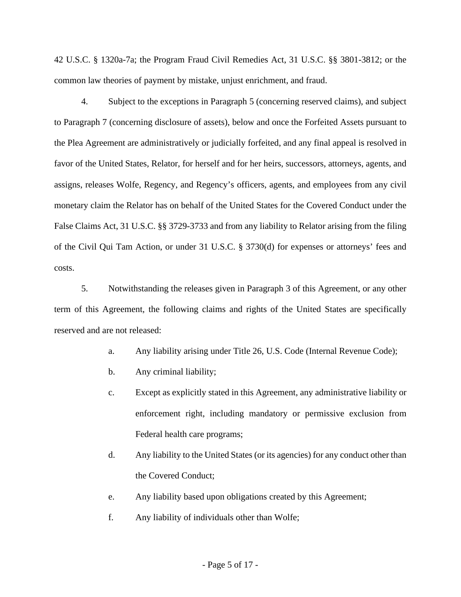common law theories of payment by mistake, unjust enrichment, and fraud. 42 U.S.C. § 1320a-7a; the Program Fraud Civil Remedies Act, 31 U.S.C. §§ 3801-3812; or the

common law theories of payment by mistake, unjust enrichment, and fraud.<br>4. Subject to the exceptions in Paragraph 5 (concerning reserved claims), and subject of the Civil Qui Tam Action, or under 31 U.S.C. § 3730(d) for expenses or attorneys' fees and to Paragraph 7 (concerning disclosure of assets), below and once the Forfeited Assets pursuant to the Plea Agreement are administratively or judicially forfeited, and any final appeal is resolved in favor of the United States, Relator, for herself and for her heirs, successors, attorneys, agents, and assigns, releases Wolfe, Regency, and Regency's officers, agents, and employees from any civil monetary claim the Relator has on behalf of the United States for the Covered Conduct under the False Claims Act, 31 U.S.C. §§ 3729-3733 and from any liability to Relator arising from the filing costs.

 term of this Agreement, the following claims and rights of the United States are specifically 5. Notwithstanding the releases given in Paragraph 3 of this Agreement, or any other reserved and are not released:

- a. Any liability arising under Title 26, U.S. Code (Internal Revenue Code);
- b. Any criminal liability;
- c. Except as explicitly stated in this Agreement, any administrative liability or enforcement right, including mandatory or permissive exclusion from Federal health care programs;
- d. Any liability to the United States (or its agencies) for any conduct other than the Covered Conduct;
- e. Any liability based upon obligations created by this Agreement; f. Any liability of individuals other than Wolfe;
-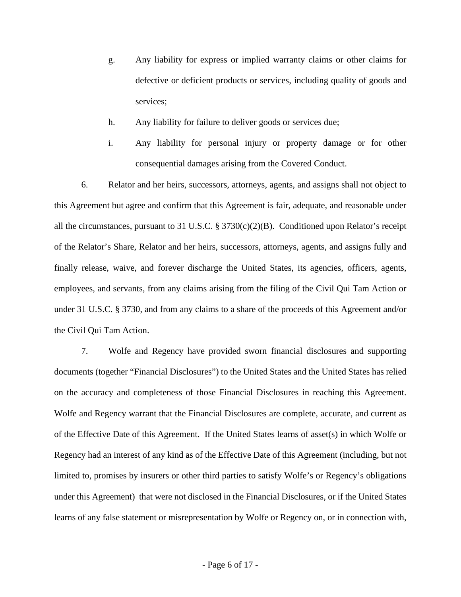- defective or deficient products or services, including quality of goods and g. Any liability for express or implied warranty claims or other claims for services;
- h. Any liability for failure to deliver goods or services due;
- i. Any liability for personal injury or property damage or for other consequential damages arising from the Covered Conduct.

6. Relator and her heirs, successors, attorneys, agents, and assigns shall not object to this Agreement but agree and confirm that this Agreement is fair, adequate, and reasonable under all the circumstances, pursuant to 31 U.S.C. § 3730(c)(2)(B). Conditioned upon Relator's receipt of the Relator's Share, Relator and her heirs, successors, attorneys, agents, and assigns fully and finally release, waive, and forever discharge the United States, its agencies, officers, agents, employees, and servants, from any claims arising from the filing of the Civil Qui Tam Action or under 31 U.S.C. § 3730, and from any claims to a share of the proceeds of this Agreement and/or the Civil Qui Tam Action.

 Wolfe and Regency warrant that the Financial Disclosures are complete, accurate, and current as of the Effective Date of this Agreement. If the United States learns of asset(s) in which Wolfe or under this Agreement) that were not disclosed in the Financial Disclosures, or if the United States 7. Wolfe and Regency have provided sworn financial disclosures and supporting documents (together "Financial Disclosures") to the United States and the United States has relied on the accuracy and completeness of those Financial Disclosures in reaching this Agreement. Regency had an interest of any kind as of the Effective Date of this Agreement (including, but not limited to, promises by insurers or other third parties to satisfy Wolfe's or Regency's obligations learns of any false statement or misrepresentation by Wolfe or Regency on, or in connection with,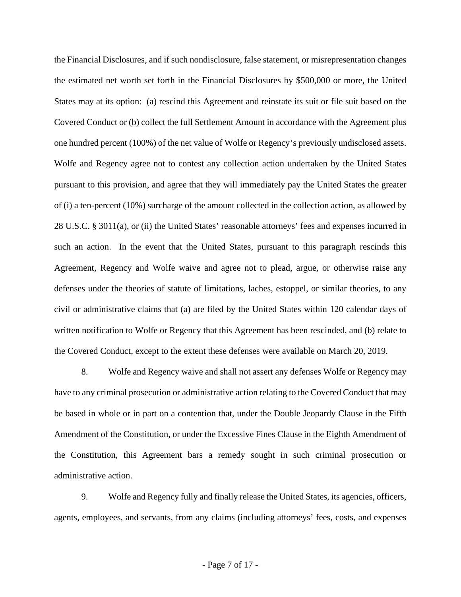the estimated net worth set forth in the Financial Disclosures by \$500,000 or more, the United Covered Conduct or (b) collect the full Settlement Amount in accordance with the Agreement plus one hundred percent (100%) of the net value of Wolfe or Regency's previously undisclosed assets. of (i) a ten-percent (10%) surcharge of the amount collected in the collection action, as allowed by the Financial Disclosures, and if such nondisclosure, false statement, or misrepresentation changes States may at its option: (a) rescind this Agreement and reinstate its suit or file suit based on the Wolfe and Regency agree not to contest any collection action undertaken by the United States. pursuant to this provision, and agree that they will immediately pay the United States the greater 28 U.S.C. § 3011(a), or (ii) the United States' reasonable attorneys' fees and expenses incurred in such an action. In the event that the United States, pursuant to this paragraph rescinds this Agreement, Regency and Wolfe waive and agree not to plead, argue, or otherwise raise any defenses under the theories of statute of limitations, laches, estoppel, or similar theories, to any civil or administrative claims that (a) are filed by the United States within 120 calendar days of written notification to Wolfe or Regency that this Agreement has been rescinded, and (b) relate to the Covered Conduct, except to the extent these defenses were available on March 20, 2019.

 8. Wolfe and Regency waive and shall not assert any defenses Wolfe or Regency may administrative action. have to any criminal prosecution or administrative action relating to the Covered Conduct that may be based in whole or in part on a contention that, under the Double Jeopardy Clause in the Fifth Amendment of the Constitution, or under the Excessive Fines Clause in the Eighth Amendment of the Constitution, this Agreement bars a remedy sought in such criminal prosecution or

9. Wolfe and Regency fully and finally release the United States, its agencies, officers, agents, employees, and servants, from any claims (including attorneys' fees, costs, and expenses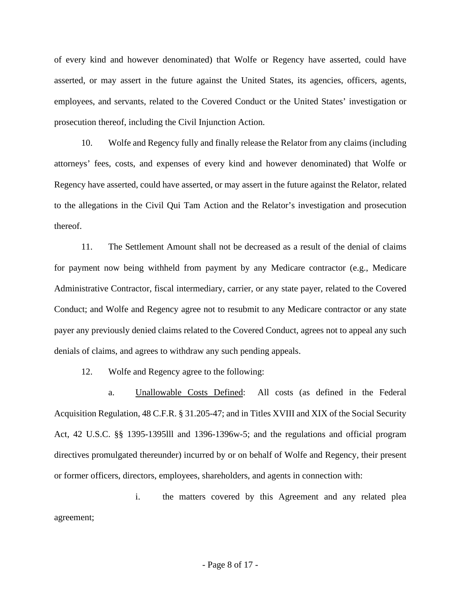of every kind and however denominated) that Wolfe or Regency have asserted, could have asserted, or may assert in the future against the United States, its agencies, officers, agents, employees, and servants, related to the Covered Conduct or the United States' investigation or prosecution thereof, including the Civil Injunction Action.

10. Wolfe and Regency fully and finally release the Relator from any claims (including attorneys' fees, costs, and expenses of every kind and however denominated) that Wolfe or Regency have asserted, could have asserted, or may assert in the future against the Relator, related to the allegations in the Civil Qui Tam Action and the Relator's investigation and prosecution thereof.

 11. The Settlement Amount shall not be decreased as a result of the denial of claims for payment now being withheld from payment by any Medicare contractor (e.g., Medicare Administrative Contractor, fiscal intermediary, carrier, or any state payer, related to the Covered Conduct; and Wolfe and Regency agree not to resubmit to any Medicare contractor or any state payer any previously denied claims related to the Covered Conduct, agrees not to appeal any such denials of claims, and agrees to withdraw any such pending appeals.

12. Wolfe and Regency agree to the following:

a. Unallowable Costs Defined: All costs (as defined in the Federal Acquisition Regulation, 48 C.F.R. § 31.205-47; and in Titles XVIII and XIX of the Social Security Act, 42 U.S.C. §§ 1395-1395lll and 1396-1396w-5; and the regulations and official program directives promulgated thereunder) incurred by or on behalf of Wolfe and Regency, their present or former officers, directors, employees, shareholders, and agents in connection with:

i. the matters covered by this Agreement and any related plea agreement;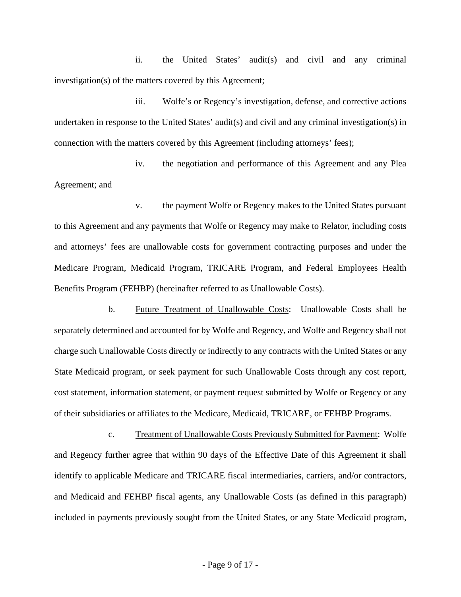investigation(s) of the matters covered by this Agreement; ii. the United States' audit(s) and civil and any criminal

iii. Wolfe's or Regency's investigation, defense, and corrective actions undertaken in response to the United States' audit(s) and civil and any criminal investigation(s) in connection with the matters covered by this Agreement (including attorneys' fees);

 iv. the negotiation and performance of this Agreement and any Plea Agreement; and

Benefits Program (FEHBP) (hereinafter referred to as Unallowable Costs). v. the payment Wolfe or Regency makes to the United States pursuant to this Agreement and any payments that Wolfe or Regency may make to Relator, including costs and attorneys' fees are unallowable costs for government contracting purposes and under the Medicare Program, Medicaid Program, TRICARE Program, and Federal Employees Health

b. Future Treatment of Unallowable Costs: Unallowable Costs shall be separately determined and accounted for by Wolfe and Regency, and Wolfe and Regency shall not charge such Unallowable Costs directly or indirectly to any contracts with the United States or any State Medicaid program, or seek payment for such Unallowable Costs through any cost report, cost statement, information statement, or payment request submitted by Wolfe or Regency or any of their subsidiaries or affiliates to the Medicare, Medicaid, TRICARE, or FEHBP Programs.

c. Treatment of Unallowable Costs Previously Submitted for Payment: Wolfe and Regency further agree that within 90 days of the Effective Date of this Agreement it shall identify to applicable Medicare and TRICARE fiscal intermediaries, carriers, and/or contractors, and Medicaid and FEHBP fiscal agents, any Unallowable Costs (as defined in this paragraph) included in payments previously sought from the United States, or any State Medicaid program,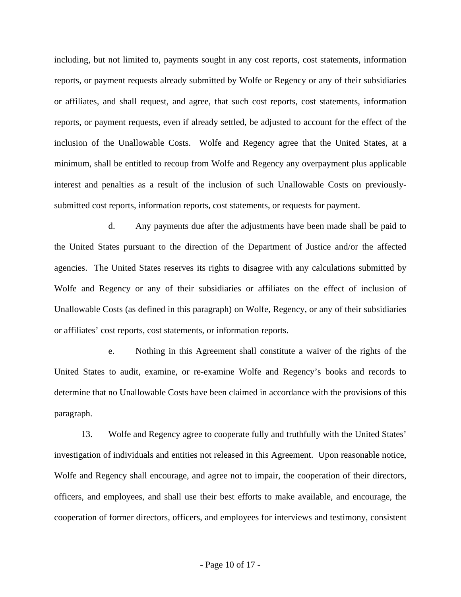reports, or payment requests already submitted by Wolfe or Regency or any of their subsidiaries submitted cost reports, information reports, cost statements, or requests for payment. including, but not limited to, payments sought in any cost reports, cost statements, information or affiliates, and shall request, and agree, that such cost reports, cost statements, information reports, or payment requests, even if already settled, be adjusted to account for the effect of the inclusion of the Unallowable Costs. Wolfe and Regency agree that the United States, at a minimum, shall be entitled to recoup from Wolfe and Regency any overpayment plus applicable interest and penalties as a result of the inclusion of such Unallowable Costs on previously-

 d. Any payments due after the adjustments have been made shall be paid to Unallowable Costs (as defined in this paragraph) on Wolfe, Regency, or any of their subsidiaries the United States pursuant to the direction of the Department of Justice and/or the affected agencies. The United States reserves its rights to disagree with any calculations submitted by Wolfe and Regency or any of their subsidiaries or affiliates on the effect of inclusion of or affiliates' cost reports, cost statements, or information reports.

e. Nothing in this Agreement shall constitute a waiver of the rights of the United States to audit, examine, or re-examine Wolfe and Regency's books and records to determine that no Unallowable Costs have been claimed in accordance with the provisions of this paragraph.

13. Wolfe and Regency agree to cooperate fully and truthfully with the United States' investigation of individuals and entities not released in this Agreement. Upon reasonable notice, Wolfe and Regency shall encourage, and agree not to impair, the cooperation of their directors, officers, and employees, and shall use their best efforts to make available, and encourage, the cooperation of former directors, officers, and employees for interviews and testimony, consistent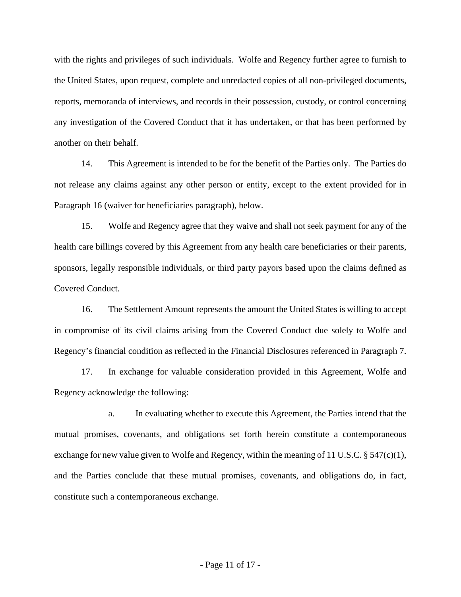another on their behalf. with the rights and privileges of such individuals. Wolfe and Regency further agree to furnish to the United States, upon request, complete and unredacted copies of all non-privileged documents, reports, memoranda of interviews, and records in their possession, custody, or control concerning any investigation of the Covered Conduct that it has undertaken, or that has been performed by

14. This Agreement is intended to be for the benefit of the Parties only. The Parties do not release any claims against any other person or entity, except to the extent provided for in Paragraph 16 (waiver for beneficiaries paragraph), below.

15. Wolfe and Regency agree that they waive and shall not seek payment for any of the health care billings covered by this Agreement from any health care beneficiaries or their parents, sponsors, legally responsible individuals, or third party payors based upon the claims defined as Covered Conduct.

 16. The Settlement Amount represents the amount the United States is willing to accept in compromise of its civil claims arising from the Covered Conduct due solely to Wolfe and Regency's financial condition as reflected in the Financial Disclosures referenced in Paragraph 7.

17. In exchange for valuable consideration provided in this Agreement, Wolfe and Regency acknowledge the following:

a. In evaluating whether to execute this Agreement, the Parties intend that the mutual promises, covenants, and obligations set forth herein constitute a contemporaneous exchange for new value given to Wolfe and Regency, within the meaning of 11 U.S.C. § 547(c)(1), and the Parties conclude that these mutual promises, covenants, and obligations do, in fact, constitute such a contemporaneous exchange.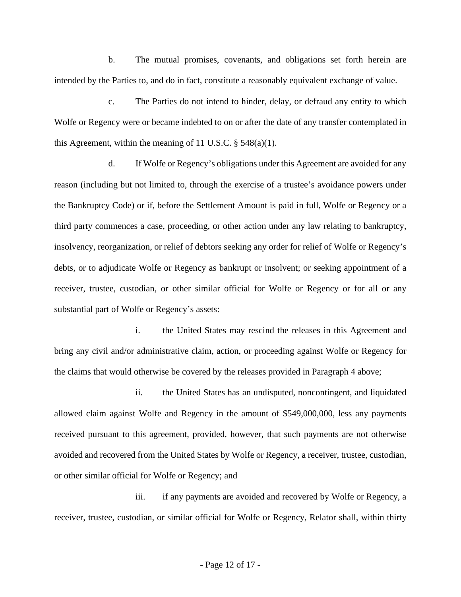b. The mutual promises, covenants, and obligations set forth herein are intended by the Parties to, and do in fact, constitute a reasonably equivalent exchange of value.

 Wolfe or Regency were or became indebted to on or after the date of any transfer contemplated in c. The Parties do not intend to hinder, delay, or defraud any entity to which this Agreement, within the meaning of 11 U.S.C.  $\S$  548(a)(1).

 insolvency, reorganization, or relief of debtors seeking any order for relief of Wolfe or Regency's substantial part of Wolfe or Regency's assets: d. If Wolfe or Regency's obligations under this Agreement are avoided for any reason (including but not limited to, through the exercise of a trustee's avoidance powers under the Bankruptcy Code) or if, before the Settlement Amount is paid in full, Wolfe or Regency or a third party commences a case, proceeding, or other action under any law relating to bankruptcy, debts, or to adjudicate Wolfe or Regency as bankrupt or insolvent; or seeking appointment of a receiver, trustee, custodian, or other similar official for Wolfe or Regency or for all or any

 the claims that would otherwise be covered by the releases provided in Paragraph 4 above; i. the United States may rescind the releases in this Agreement and bring any civil and/or administrative claim, action, or proceeding against Wolfe or Regency for

 allowed claim against Wolfe and Regency in the amount of \$549,000,000, less any payments avoided and recovered from the United States by Wolfe or Regency, a receiver, trustee, custodian, or other similar official for Wolfe or Regency; and ii. the United States has an undisputed, noncontingent, and liquidated received pursuant to this agreement, provided, however, that such payments are not otherwise

iii. if any payments are avoided and recovered by Wolfe or Regency, a receiver, trustee, custodian, or similar official for Wolfe or Regency, Relator shall, within thirty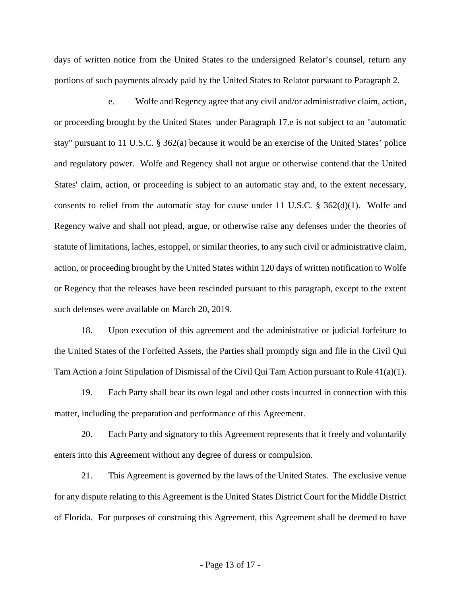days of written notice from the United States to the undersigned Relator's counsel, return any portions of such payments already paid by the United States to Relator pursuant to Paragraph 2.

 or Regency that the releases have been rescinded pursuant to this paragraph, except to the extent e. Wolfe and Regency agree that any civil and/or administrative claim, action, or proceeding brought by the United States under Paragraph 17.e is not subject to an "automatic stay" pursuant to 11 U.S.C. § 362(a) because it would be an exercise of the United States' police and regulatory power. Wolfe and Regency shall not argue or otherwise contend that the United States' claim, action, or proceeding is subject to an automatic stay and, to the extent necessary, consents to relief from the automatic stay for cause under 11 U.S.C. § 362(d)(1). Wolfe and Regency waive and shall not plead, argue, or otherwise raise any defenses under the theories of statute of limitations, laches, estoppel, or similar theories, to any such civil or administrative claim, action, or proceeding brought by the United States within 120 days of written notification to Wolfe such defenses were available on March 20, 2019.

18. Upon execution of this agreement and the administrative or judicial forfeiture to the United States of the Forfeited Assets, the Parties shall promptly sign and file in the Civil Qui Tam Action a Joint Stipulation of Dismissal of the Civil Qui Tam Action pursuant to Rule 41(a)(1).

19. Each Party shall bear its own legal and other costs incurred in connection with this matter, including the preparation and performance of this Agreement.

20. Each Party and signatory to this Agreement represents that it freely and voluntarily enters into this Agreement without any degree of duress or compulsion.

21. This Agreement is governed by the laws of the United States. The exclusive venue for any dispute relating to this Agreement is the United States District Court for the Middle District of Florida. For purposes of construing this Agreement, this Agreement shall be deemed to have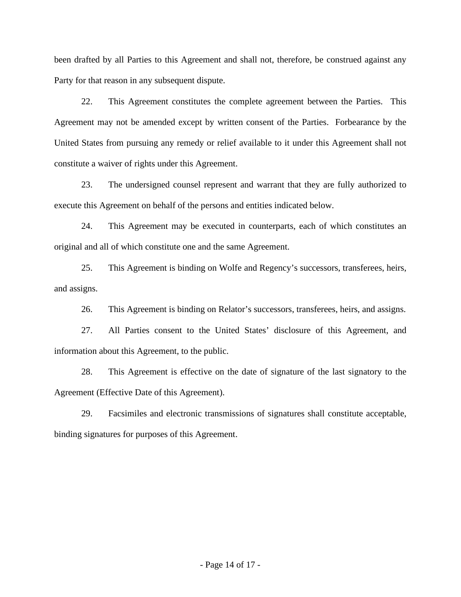been drafted by all Parties to this Agreement and shall not, therefore, be construed against any Party for that reason in any subsequent dispute.

 22. This Agreement constitutes the complete agreement between the Parties. This Agreement may not be amended except by written consent of the Parties. Forbearance by the United States from pursuing any remedy or relief available to it under this Agreement shall not constitute a waiver of rights under this Agreement.

23. The undersigned counsel represent and warrant that they are fully authorized to execute this Agreement on behalf of the persons and entities indicated below.

24. This Agreement may be executed in counterparts, each of which constitutes an original and all of which constitute one and the same Agreement.

25. This Agreement is binding on Wolfe and Regency's successors, transferees, heirs, and assigns.

26. This Agreement is binding on Relator's successors, transferees, heirs, and assigns.

27. All Parties consent to the United States' disclosure of this Agreement, and information about this Agreement, to the public.

Agreement (Effective Date of this Agreement). 28. This Agreement is effective on the date of signature of the last signatory to the

Agreement (Effective Date of this Agreement).<br>29. Facsimiles and electronic transmissions of signatures shall constitute acceptable, binding signatures for purposes of this Agreement.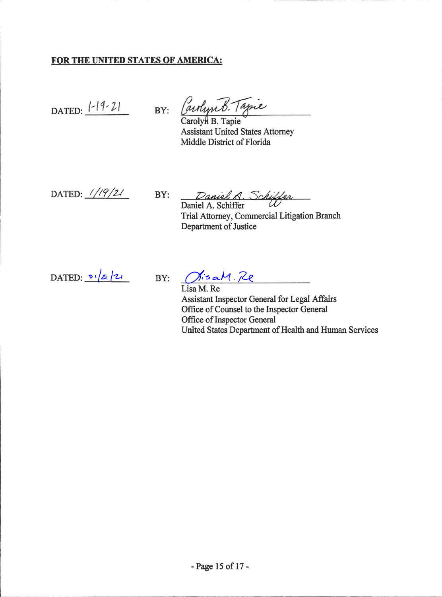## FOR THE UNITED STATES OF AMERICA:

DATED: 1-19-21 BY: Carlyn B. Tapie

Carolyn B. Tapie **Assistant United States Attorney** Middle District of Florida

DATED:  $1/9/21$ 

Daniel A. Schiffer<br>Daniel A. Schiffer  $BY:$ 

Trial Attorney, Commercial Litigation Branch Department of Justice

DATED:  $0/2/2$ 

BY: MisaM. Re

Lisa M. Re Assistant Inspector General for Legal Affairs Office of Counsel to the Inspector General Office of Inspector General United States Department of Health and Human Services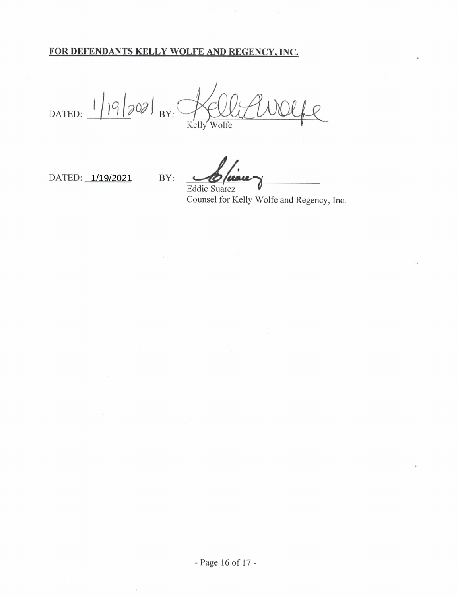## FOR DEFENDANTS KELLY WOLFE AND REGENCY, INC.

BY:

DATED:  $1/9/202$  BY: Kelly Wolfe

DATED: 1/19/2021

Eddie Suarez Counsel for Kelly Wolfe and Regency, Inc.